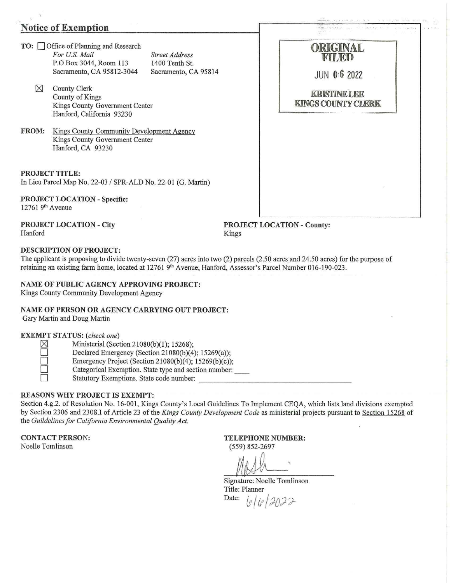## **Notice of Exemotion**

**TO:** □ Office of Planning and Research For U.S. Mail *Street Address* P.O Box 3044, Room 113 1400 Tenth St. Sacramento, CA 95812-3044 Sacramento, CA 95814

- $\boxtimes$  County Clerk County of Kings Kings County Government Center Hanford, California 93230
- **FROM:** Kings County Community Development Agency Kings County Government Center Hanford, CA 93230

**PROJECT TITLE:**  In Lieu Parcel Map No. 22-03 / SPR-ALD No. 22-01 (G. Martin)

**PROJECT LOCATION- Specific:**  12761 9<sup>th</sup> Avenue

**PROJECT LOCATION- City**  Hanford

**PROJECT LOCATION- County:**  Kings

### **DESCRIPTION OF PROJECT:**

The applicant is proposing to divide twenty-seven (27) acres into two (2) parcels (2.50 acres and 24.50 acres) for the purpose of retaining an existing farm home, located at 12761 9<sup>th</sup> Avenue, Hanford, Assessor's Parcel Number 016-190-023.

#### **NAME OF PUBLIC AGENCY APPROVING PROJECT:**

Kings County Community Development Agency

### **NAME OF PERSON OR AGENCY CARRYING OUT PROJECT:**

Gary Martin and Doug Martin

### **EXEMPT STATUS:** *(check one)*

| ___ | ۰                                                          |
|-----|------------------------------------------------------------|
|     | c<br>×<br>ä<br>77<br>o<br>ı                                |
|     | <b>STATISTICS</b><br>K.<br>٠<br>I<br>)<br>M<br>c<br>×<br>s |
| __  | b.<br>r.<br>۲<br>í.<br>۰<br>i,                             |
| _   | ì                                                          |

Ministerial (Section 21080(b)(1); 15268);

Declared Emergency (Section 21080(b)(4); 15269(a));

Emergency Project (Section 21080(b)(4); 15269(b)(c));

Categorical Exemption. State type and section number:

Statutory Exemptions. State code number:

### **REASONS WHY PROJECT IS EXEMPT:**

Section 4.g.2. of Resolution No. 16-001, Kings County's Local Guidelines To Implement CEQA, which lists land divisions exempted by Section 2306 and 2308.1 of Article 23 of the *Kings County Development Code* as ministerial projects pursuant to Section 15268 of the *Guildelines for California Environmental Quality Act.* 

**CONTACT PERSON:** 

Noelle Tomlinson

**TELEPHONE NUMBER:** 

(559) 852-2697

Signature: Noelle Tomlinson Title: Planner Date:  $i_{\ell}/i_{\ell}/3022$